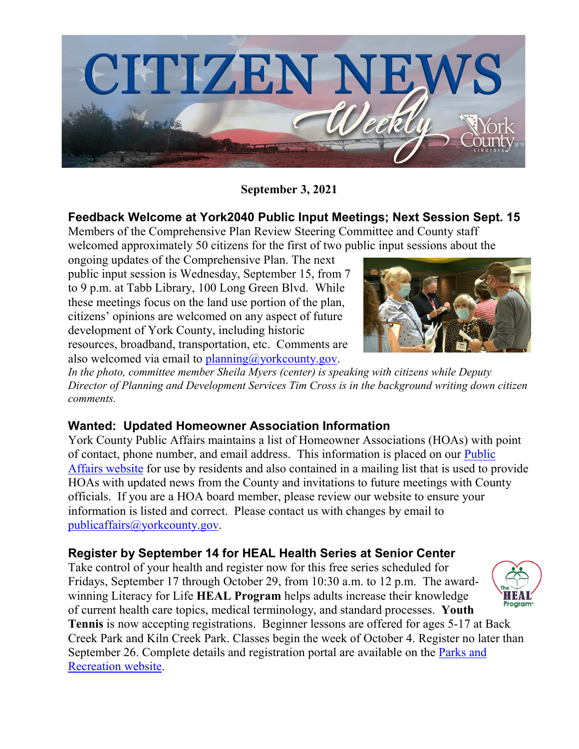

**September 3, 2021**

## **Feedback Welcome at York2040 Public Input Meetings; Next Session Sept. 15**

Members of the Comprehensive Plan Review Steering Committee and County staff welcomed approximately 50 citizens for the first of two public input sessions about the

ongoing updates of the Comprehensive Plan. The next public input session is Wednesday, September 15, from 7 to 9 p.m. at Tabb Library, 100 Long Green Blvd. While these meetings focus on the land use portion of the plan, citizens' opinions are welcomed on any aspect of future development of York County, including historic resources, broadband, transportation, etc. Comments are also welcomed via email to  $planning@yorkcounty.gov$ .



*In the photo, committee member Sheila Myers (center) is speaking with citizens while Deputy Director of Planning and Development Services Tim Cross is in the background writing down citizen comments.*

## **Wanted: Updated Homeowner Association Information**

York County Public Affairs maintains a list of Homeowner Associations (HOAs) with point of contact, phone number, and email address. This information is placed on our [Public](https://www.yorkcounty.gov/BusinessDirectoryII.aspx?lngBusinessCategoryID=24)  [Affairs website](https://www.yorkcounty.gov/BusinessDirectoryII.aspx?lngBusinessCategoryID=24) for use by residents and also contained in a mailing list that is used to provide HOAs with updated news from the County and invitations to future meetings with County officials. If you are a HOA board member, please review our website to ensure your information is listed and correct. Please contact us with changes by email to [publicaffairs@yorkcounty.gov.](mailto:publicaffairs@yorkcounty.gov)

## **Register by September 14 for HEAL Health Series at Senior Center**

Take control of your health and register now for this free series scheduled for Fridays, September 17 through October 29, from 10:30 a.m. to 12 p.m. The awardwinning Literacy for Life **HEAL Program** helps adults increase their knowledge of current health care topics, medical terminology, and standard processes. **Youth Tennis** is now accepting registrations. Beginner lessons are offered for ages 5-17 at Back Creek Park and Kiln Creek Park. Classes begin the week of October 4. Register no later than September 26. Complete details and registration portal are available on the [Parks and](https://www.yorkcounty.gov/634/Parks-and-Recreation)  [Recreation website.](https://www.yorkcounty.gov/634/Parks-and-Recreation)